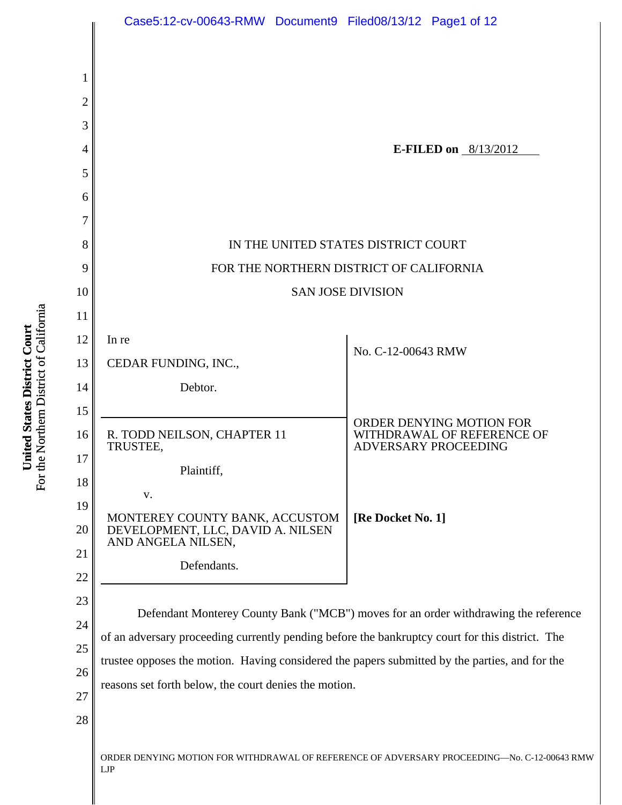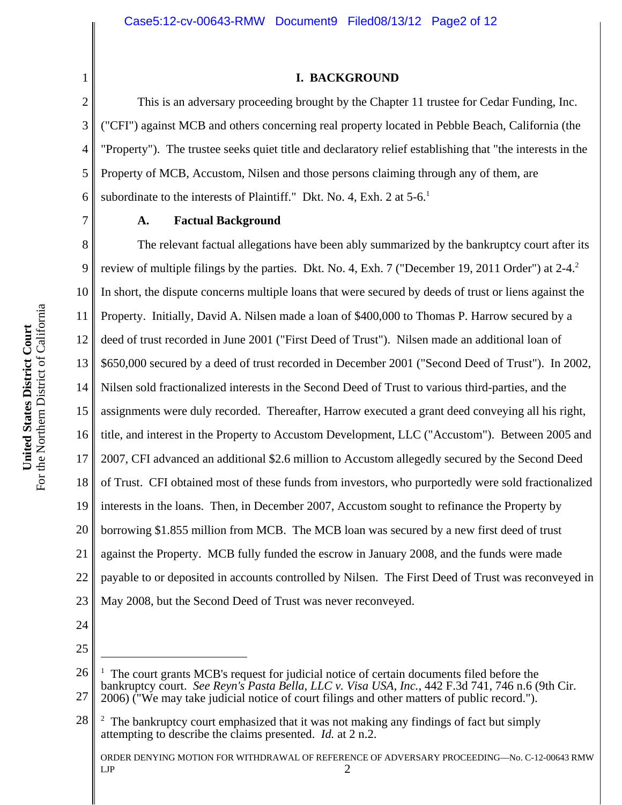#### **I. BACKGROUND**

6 This is an adversary proceeding brought by the Chapter 11 trustee for Cedar Funding, Inc. ("CFI") against MCB and others concerning real property located in Pebble Beach, California (the "Property"). The trustee seeks quiet title and declaratory relief establishing that "the interests in the Property of MCB, Accustom, Nilsen and those persons claiming through any of them, are subordinate to the interests of Plaintiff." Dkt. No. 4, Exh. 2 at 5-6.<sup>1</sup>

7

1

2

3

4

5

## **A. Factual Background**

8 9 10 11 12 13 14 15 16 17 18 19 20 21 22 23 The relevant factual allegations have been ably summarized by the bankruptcy court after its review of multiple filings by the parties. Dkt. No. 4, Exh. 7 ("December 19, 2011 Order") at 2-4.<sup>2</sup> In short, the dispute concerns multiple loans that were secured by deeds of trust or liens against the Property. Initially, David A. Nilsen made a loan of \$400,000 to Thomas P. Harrow secured by a deed of trust recorded in June 2001 ("First Deed of Trust"). Nilsen made an additional loan of \$650,000 secured by a deed of trust recorded in December 2001 ("Second Deed of Trust"). In 2002, Nilsen sold fractionalized interests in the Second Deed of Trust to various third-parties, and the assignments were duly recorded. Thereafter, Harrow executed a grant deed conveying all his right, title, and interest in the Property to Accustom Development, LLC ("Accustom"). Between 2005 and 2007, CFI advanced an additional \$2.6 million to Accustom allegedly secured by the Second Deed of Trust. CFI obtained most of these funds from investors, who purportedly were sold fractionalized interests in the loans. Then, in December 2007, Accustom sought to refinance the Property by borrowing \$1.855 million from MCB. The MCB loan was secured by a new first deed of trust against the Property. MCB fully funded the escrow in January 2008, and the funds were made payable to or deposited in accounts controlled by Nilsen. The First Deed of Trust was reconveyed in May 2008, but the Second Deed of Trust was never reconveyed.

- 24
- 25

<sup>26</sup> 27 1 The court grants MCB's request for judicial notice of certain documents filed before the bankruptcy court. *See Reyn's Pasta Bella, LLC v. Visa USA, Inc.*, 442 F.3d 741, 746 n.6 (9th Cir.

<sup>2006) (&</sup>quot;We may take judicial notice of court filings and other matters of public record.").

<sup>28</sup> 2 The bankruptcy court emphasized that it was not making any findings of fact but simply attempting to describe the claims presented. *Id.* at 2 n.2.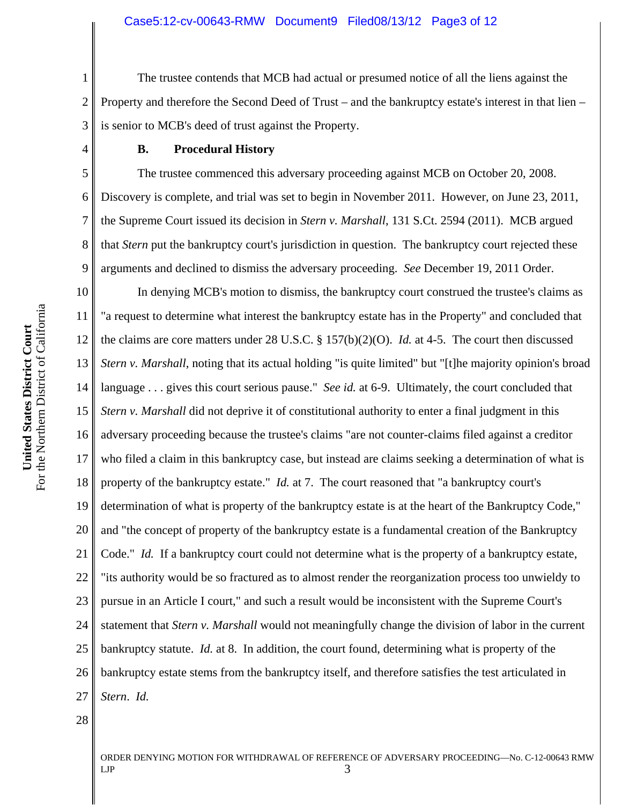1 2 3 The trustee contends that MCB had actual or presumed notice of all the liens against the Property and therefore the Second Deed of Trust – and the bankruptcy estate's interest in that lien – is senior to MCB's deed of trust against the Property.

#### **B. Procedural History**

The trustee commenced this adversary proceeding against MCB on October 20, 2008. Discovery is complete, and trial was set to begin in November 2011. However, on June 23, 2011, the Supreme Court issued its decision in *Stern v. Marshall*, 131 S.Ct. 2594 (2011). MCB argued that *Stern* put the bankruptcy court's jurisdiction in question. The bankruptcy court rejected these arguments and declined to dismiss the adversary proceeding. *See* December 19, 2011 Order.

10 11 12 13 14 15 16 17 18 19 20 21 22 23 24 25 26 27 In denying MCB's motion to dismiss, the bankruptcy court construed the trustee's claims as "a request to determine what interest the bankruptcy estate has in the Property" and concluded that the claims are core matters under 28 U.S.C. § 157(b)(2)(O). *Id.* at 4-5. The court then discussed *Stern v. Marshall*, noting that its actual holding "is quite limited" but "[t]he majority opinion's broad language . . . gives this court serious pause." *See id.* at 6-9. Ultimately, the court concluded that *Stern v. Marshall* did not deprive it of constitutional authority to enter a final judgment in this adversary proceeding because the trustee's claims "are not counter-claims filed against a creditor who filed a claim in this bankruptcy case, but instead are claims seeking a determination of what is property of the bankruptcy estate." *Id.* at 7. The court reasoned that "a bankruptcy court's determination of what is property of the bankruptcy estate is at the heart of the Bankruptcy Code," and "the concept of property of the bankruptcy estate is a fundamental creation of the Bankruptcy Code." *Id.* If a bankruptcy court could not determine what is the property of a bankruptcy estate, "its authority would be so fractured as to almost render the reorganization process too unwieldy to pursue in an Article I court," and such a result would be inconsistent with the Supreme Court's statement that *Stern v. Marshall* would not meaningfully change the division of labor in the current bankruptcy statute. *Id.* at 8. In addition, the court found, determining what is property of the bankruptcy estate stems from the bankruptcy itself, and therefore satisfies the test articulated in *Stern*. *Id.*

28

ORDER DENYING MOTION FOR WITHDRAWAL OF REFERENCE OF ADVERSARY PROCEEDING—No. C-12-00643 RMW  $LIP$  3

4

5

6

7

8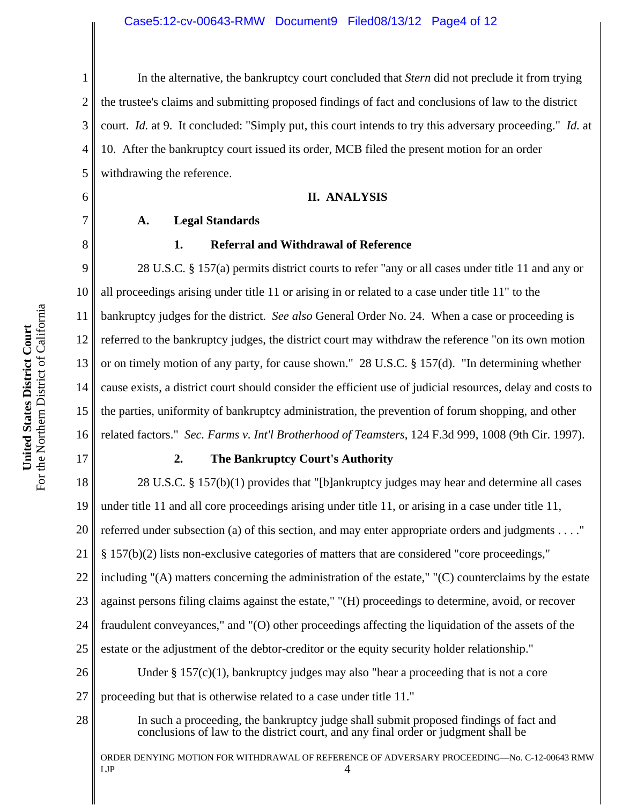In the alternative, the bankruptcy court concluded that *Stern* did not preclude it from trying

2 3 4 5 6 7 the trustee's claims and submitting proposed findings of fact and conclusions of law to the district court. *Id.* at 9. It concluded: "Simply put, this court intends to try this adversary proceeding." *Id.* at 10. After the bankruptcy court issued its order, MCB filed the present motion for an order withdrawing the reference. **II. ANALYSIS**

#### **A. Legal Standards**

#### **1. Referral and Withdrawal of Reference**

9 10 11 12 13 14 15 16 28 U.S.C. § 157(a) permits district courts to refer "any or all cases under title 11 and any or all proceedings arising under title 11 or arising in or related to a case under title 11" to the bankruptcy judges for the district. *See also* General Order No. 24. When a case or proceeding is referred to the bankruptcy judges, the district court may withdraw the reference "on its own motion or on timely motion of any party, for cause shown." 28 U.S.C. § 157(d). "In determining whether cause exists, a district court should consider the efficient use of judicial resources, delay and costs to the parties, uniformity of bankruptcy administration, the prevention of forum shopping, and other related factors." *Sec. Farms v. Int'l Brotherhood of Teamsters*, 124 F.3d 999, 1008 (9th Cir. 1997).

# **2. The Bankruptcy Court's Authority**

18 19 20 21 22 23 24 25 26 27 28 28 U.S.C. § 157(b)(1) provides that "[b]ankruptcy judges may hear and determine all cases under title 11 and all core proceedings arising under title 11, or arising in a case under title 11, referred under subsection (a) of this section, and may enter appropriate orders and judgments . . . ." § 157(b)(2) lists non-exclusive categories of matters that are considered "core proceedings," including "(A) matters concerning the administration of the estate," "(C) counterclaims by the estate against persons filing claims against the estate," "(H) proceedings to determine, avoid, or recover fraudulent conveyances," and "(O) other proceedings affecting the liquidation of the assets of the estate or the adjustment of the debtor-creditor or the equity security holder relationship." Under  $\S 157(c)(1)$ , bankruptcy judges may also "hear a proceeding that is not a core proceeding but that is otherwise related to a case under title 11." In such a proceeding, the bankruptcy judge shall submit proposed findings of fact and conclusions of law to the district court, and any final order or judgment shall be

ORDER DENYING MOTION FOR WITHDRAWAL OF REFERENCE OF ADVERSARY PROCEEDING—No. C-12-00643 RMW  $LIP$  4

1

8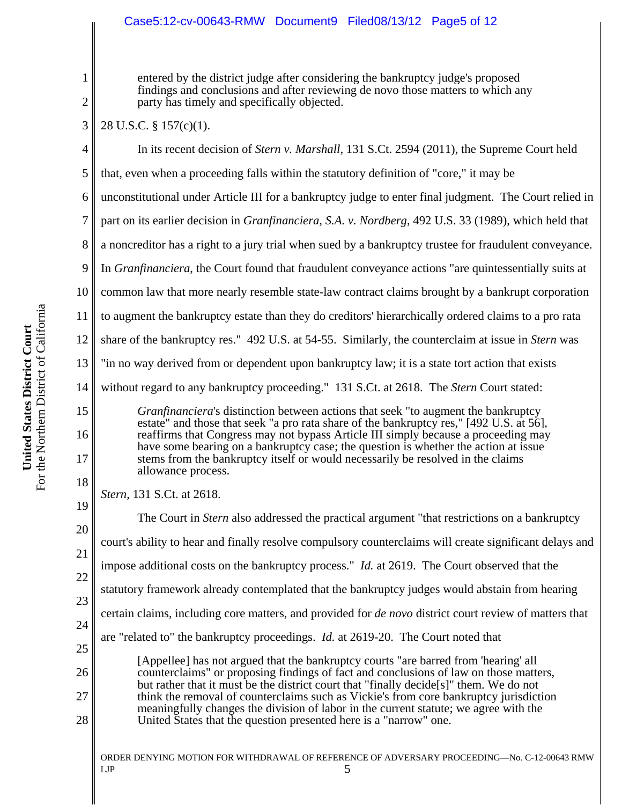# Case5:12-cv-00643-RMW Document9 Filed08/13/12 Page5 of 12

entered by the district judge after considering the bankruptcy judge's proposed findings and conclusions and after reviewing de novo those matters to which any party has timely and specifically objected.

3 28 U.S.C. § 157(c)(1).

| 4              | In its recent decision of Stern v. Marshall, 131 S.Ct. 2594 (2011), the Supreme Court held                                                                                                                                                                                                                                                                                                                                                          |
|----------------|-----------------------------------------------------------------------------------------------------------------------------------------------------------------------------------------------------------------------------------------------------------------------------------------------------------------------------------------------------------------------------------------------------------------------------------------------------|
| 5              | that, even when a proceeding falls within the statutory definition of "core," it may be                                                                                                                                                                                                                                                                                                                                                             |
| 6              | unconstitutional under Article III for a bankruptcy judge to enter final judgment. The Court relied in                                                                                                                                                                                                                                                                                                                                              |
| $\tau$         | part on its earlier decision in <i>Granfinanciera</i> , S.A. v. <i>Nordberg</i> , 492 U.S. 33 (1989), which held that                                                                                                                                                                                                                                                                                                                               |
| 8              | a noncreditor has a right to a jury trial when sued by a bankruptcy trustee for fraudulent conveyance.                                                                                                                                                                                                                                                                                                                                              |
| 9              | In <i>Granfinanciera</i> , the Court found that fraudulent conveyance actions "are quintessentially suits at                                                                                                                                                                                                                                                                                                                                        |
| 10             | common law that more nearly resemble state-law contract claims brought by a bankrupt corporation                                                                                                                                                                                                                                                                                                                                                    |
| 11             | to augment the bankruptcy estate than they do creditors' hierarchically ordered claims to a pro rata                                                                                                                                                                                                                                                                                                                                                |
| 12             | share of the bankruptcy res." 492 U.S. at 54-55. Similarly, the counterclaim at issue in Stern was                                                                                                                                                                                                                                                                                                                                                  |
| 13             | "in no way derived from or dependent upon bankruptcy law; it is a state tort action that exists                                                                                                                                                                                                                                                                                                                                                     |
| 14             | without regard to any bankruptcy proceeding." 131 S.Ct. at 2618. The Stern Court stated:                                                                                                                                                                                                                                                                                                                                                            |
| 15<br>16<br>17 | <i>Granfinanciera's</i> distinction between actions that seek "to augment the bankruptcy<br>estate" and those that seek "a pro rata share of the bankruptcy res," [492 U.S. at 56],<br>reaffirms that Congress may not bypass Article III simply because a proceeding may<br>have some bearing on a bankruptcy case; the question is whether the action at issue<br>stems from the bankruptcy itself or would necessarily be resolved in the claims |
| 18             | allowance process.                                                                                                                                                                                                                                                                                                                                                                                                                                  |
| 19             | Stern, 131 S.Ct. at 2618.                                                                                                                                                                                                                                                                                                                                                                                                                           |
| 20             | The Court in <i>Stern</i> also addressed the practical argument "that restrictions on a bankruptcy                                                                                                                                                                                                                                                                                                                                                  |
| 21             | court's ability to hear and finally resolve compulsory counterclaims will create significant delays and                                                                                                                                                                                                                                                                                                                                             |
| 22             | impose additional costs on the bankruptcy process." <i>Id.</i> at 2619. The Court observed that the                                                                                                                                                                                                                                                                                                                                                 |
| 23             | statutory framework already contemplated that the bankruptcy judges would abstain from hearing                                                                                                                                                                                                                                                                                                                                                      |
| 24             | certain claims, including core matters, and provided for <i>de novo</i> district court review of matters that                                                                                                                                                                                                                                                                                                                                       |
| 25             | are "related to" the bankruptcy proceedings. <i>Id.</i> at 2619-20. The Court noted that                                                                                                                                                                                                                                                                                                                                                            |
| 26             | [Appellee] has not argued that the bankruptcy courts "are barred from 'hearing' all<br>counterclaims" or proposing findings of fact and conclusions of law on those matters,<br>but rather that it must be the district court that "finally decide[s]" them. We do not                                                                                                                                                                              |
| 27<br>28       | think the removal of counterclaims such as Vickie's from core bankruptcy jurisdiction<br>meaningfully changes the division of labor in the current statute; we agree with the<br>United States that the question presented here is a "narrow" one.                                                                                                                                                                                                  |

ORDER DENYING MOTION FOR WITHDRAWAL OF REFERENCE OF ADVERSARY PROCEEDING—No. C-12-00643 RMW  $LIP$  5

1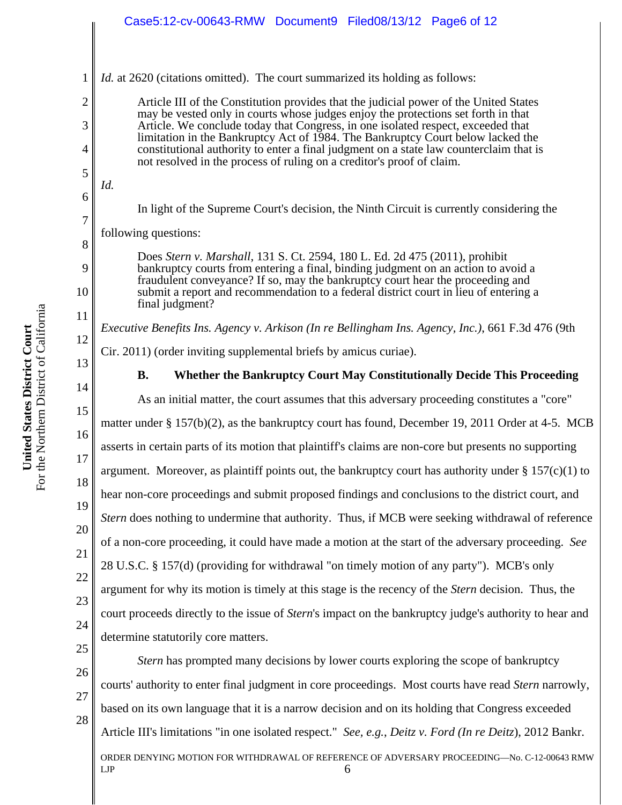may be vested only in courts whose judges enjoy the protections set forth in that Article. We conclude today that Congress, in one isolated respect, exceeded that limitation in the Bankruptcy Act of 1984. The Bankruptcy Court below lacked the constitutional authority to enter a final judgment on a state law counterclaim that is not resolved in the process of ruling on a creditor's proof of claim.

In light of the Supreme Court's decision, the Ninth Circuit is currently considering the

following questions:

Does *Stern v. Marshall*, 131 S. Ct. 2594, 180 L. Ed. 2d 475 (2011), prohibit bankruptcy courts from entering a final, binding judgment on an action to avoid a fraudulent conveyance? If so, may the bankruptcy court hear the proceeding and submit a report and recommendation to a federal district court in lieu of entering a final judgment?

*Executive Benefits Ins. Agency v. Arkison (In re Bellingham Ins. Agency, Inc.)*, 661 F.3d 476 (9th

Cir. 2011) (order inviting supplemental briefs by amicus curiae).

13 14

15

16

17

18

19

20

21

22

23

24

25

1

2

3

4

5

*Id.*

6

7

8

9

10

11

12

**B. Whether the Bankruptcy Court May Constitutionally Decide This Proceeding**

As an initial matter, the court assumes that this adversary proceeding constitutes a "core" matter under § 157(b)(2), as the bankruptcy court has found, December 19, 2011 Order at 4-5. MCB asserts in certain parts of its motion that plaintiff's claims are non-core but presents no supporting argument. Moreover, as plaintiff points out, the bankruptcy court has authority under  $\S 157(c)(1)$  to hear non-core proceedings and submit proposed findings and conclusions to the district court, and *Stern* does nothing to undermine that authority. Thus, if MCB were seeking withdrawal of reference of a non-core proceeding, it could have made a motion at the start of the adversary proceeding. *See* 28 U.S.C. § 157(d) (providing for withdrawal "on timely motion of any party"). MCB's only argument for why its motion is timely at this stage is the recency of the *Stern* decision. Thus, the court proceeds directly to the issue of *Stern*'s impact on the bankruptcy judge's authority to hear and determine statutorily core matters.

26 27

28

ORDER DENYING MOTION FOR WITHDRAWAL OF REFERENCE OF ADVERSARY PROCEEDING—No. C-12-00643 RMW  $LIP$  6 *Stern* has prompted many decisions by lower courts exploring the scope of bankruptcy courts' authority to enter final judgment in core proceedings. Most courts have read *Stern* narrowly, based on its own language that it is a narrow decision and on its holding that Congress exceeded Article III's limitations "in one isolated respect." *See, e.g.*, *Deitz v. Ford (In re Deitz*), 2012 Bankr.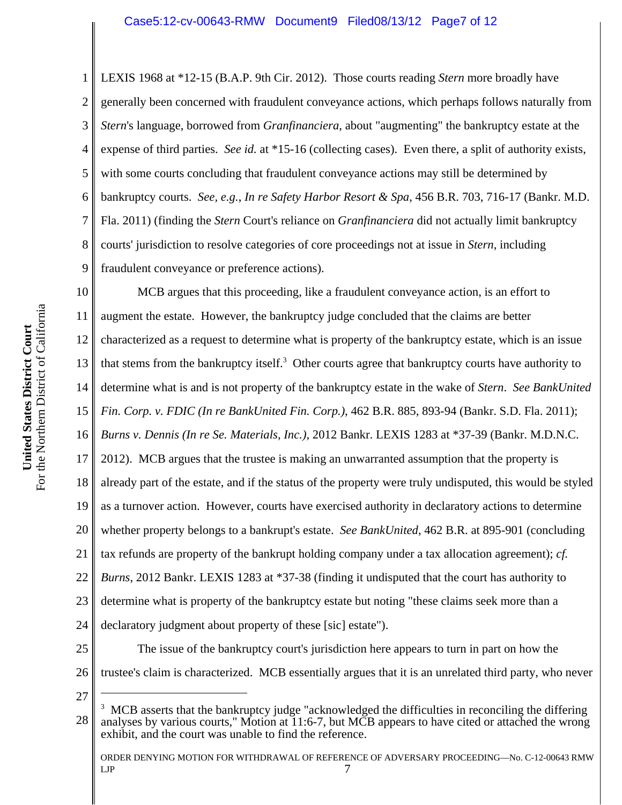1 2 3 4 5 6 7 8 9 LEXIS 1968 at \*12-15 (B.A.P. 9th Cir. 2012). Those courts reading *Stern* more broadly have generally been concerned with fraudulent conveyance actions, which perhaps follows naturally from *Stern*'s language, borrowed from *Granfinanciera*, about "augmenting" the bankruptcy estate at the expense of third parties. *See id.* at \*15-16 (collecting cases). Even there, a split of authority exists, with some courts concluding that fraudulent conveyance actions may still be determined by bankruptcy courts. *See, e.g.*, *In re Safety Harbor Resort & Spa*, 456 B.R. 703, 716-17 (Bankr. M.D. Fla. 2011) (finding the *Stern* Court's reliance on *Granfinanciera* did not actually limit bankruptcy courts' jurisdiction to resolve categories of core proceedings not at issue in *Stern*, including fraudulent conveyance or preference actions).

10 11 12 13 14 15 16 17 18 19 20 21 22 23 24 25 26 MCB argues that this proceeding, like a fraudulent conveyance action, is an effort to augment the estate. However, the bankruptcy judge concluded that the claims are better characterized as a request to determine what is property of the bankruptcy estate, which is an issue that stems from the bankruptcy itself.<sup>3</sup> Other courts agree that bankruptcy courts have authority to determine what is and is not property of the bankruptcy estate in the wake of *Stern*. *See BankUnited Fin. Corp. v. FDIC (In re BankUnited Fin. Corp.)*, 462 B.R. 885, 893-94 (Bankr. S.D. Fla. 2011); *Burns v. Dennis (In re Se. Materials, Inc.)*, 2012 Bankr. LEXIS 1283 at \*37-39 (Bankr. M.D.N.C. 2012). MCB argues that the trustee is making an unwarranted assumption that the property is already part of the estate, and if the status of the property were truly undisputed, this would be styled as a turnover action. However, courts have exercised authority in declaratory actions to determine whether property belongs to a bankrupt's estate. *See BankUnited*, 462 B.R. at 895-901 (concluding tax refunds are property of the bankrupt holding company under a tax allocation agreement); *cf. Burns*, 2012 Bankr. LEXIS 1283 at \*37-38 (finding it undisputed that the court has authority to determine what is property of the bankruptcy estate but noting "these claims seek more than a declaratory judgment about property of these [sic] estate"). The issue of the bankruptcy court's jurisdiction here appears to turn in part on how the trustee's claim is characterized. MCB essentially argues that it is an unrelated third party, who never

27

<sup>28</sup> <sup>3</sup> MCB asserts that the bankruptcy judge "acknowledged the difficulties in reconciling the differing analyses by various courts," Motion at 11:6-7, but MCB appears to have cited or attached the wrong exhibit, and the court was unable to find the reference.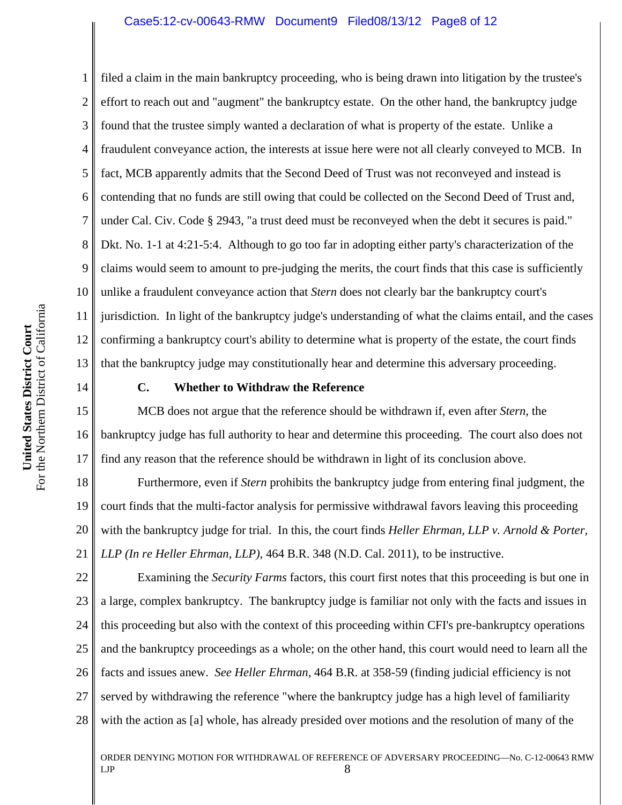#### Case5:12-cv-00643-RMW Document9 Filed08/13/12 Page8 of 12

1 2 3 4 5 6 7 8 9 10 11 12 13 filed a claim in the main bankruptcy proceeding, who is being drawn into litigation by the trustee's effort to reach out and "augment" the bankruptcy estate. On the other hand, the bankruptcy judge found that the trustee simply wanted a declaration of what is property of the estate. Unlike a fraudulent conveyance action, the interests at issue here were not all clearly conveyed to MCB. In fact, MCB apparently admits that the Second Deed of Trust was not reconveyed and instead is contending that no funds are still owing that could be collected on the Second Deed of Trust and, under Cal. Civ. Code § 2943, "a trust deed must be reconveyed when the debt it secures is paid." Dkt. No. 1-1 at 4:21-5:4. Although to go too far in adopting either party's characterization of the claims would seem to amount to pre-judging the merits, the court finds that this case is sufficiently unlike a fraudulent conveyance action that *Stern* does not clearly bar the bankruptcy court's jurisdiction. In light of the bankruptcy judge's understanding of what the claims entail, and the cases confirming a bankruptcy court's ability to determine what is property of the estate, the court finds that the bankruptcy judge may constitutionally hear and determine this adversary proceeding.

14

## **C. Whether to Withdraw the Reference**

15 16 17 MCB does not argue that the reference should be withdrawn if, even after *Stern*, the bankruptcy judge has full authority to hear and determine this proceeding. The court also does not find any reason that the reference should be withdrawn in light of its conclusion above.

18 19 20 21 Furthermore, even if *Stern* prohibits the bankruptcy judge from entering final judgment, the court finds that the multi-factor analysis for permissive withdrawal favors leaving this proceeding with the bankruptcy judge for trial. In this, the court finds *Heller Ehrman, LLP v. Arnold & Porter, LLP (In re Heller Ehrman, LLP)*, 464 B.R. 348 (N.D. Cal. 2011), to be instructive.

22 23 24 25 26 27 28 Examining the *Security Farms* factors, this court first notes that this proceeding is but one in a large, complex bankruptcy. The bankruptcy judge is familiar not only with the facts and issues in this proceeding but also with the context of this proceeding within CFI's pre-bankruptcy operations and the bankruptcy proceedings as a whole; on the other hand, this court would need to learn all the facts and issues anew. *See Heller Ehrman*, 464 B.R. at 358-59 (finding judicial efficiency is not served by withdrawing the reference "where the bankruptcy judge has a high level of familiarity with the action as [a] whole, has already presided over motions and the resolution of many of the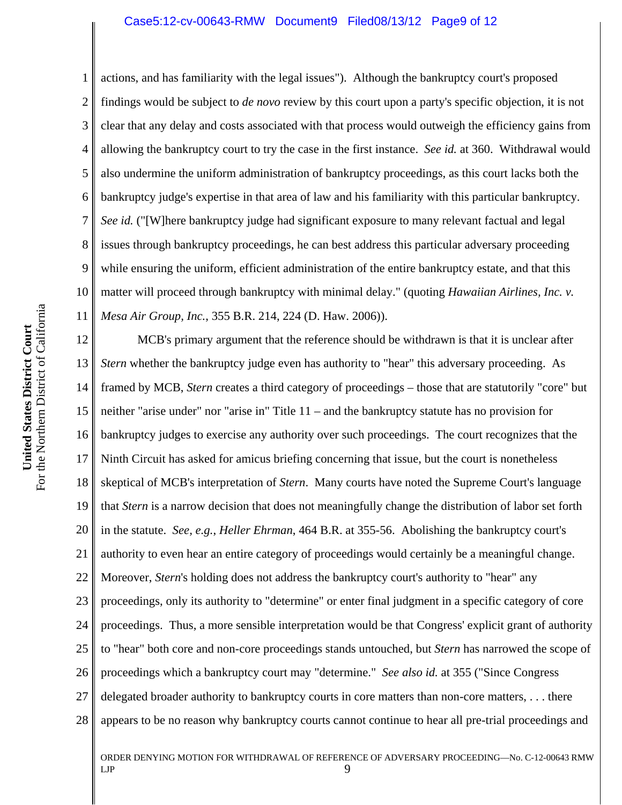#### Case5:12-cv-00643-RMW Document9 Filed08/13/12 Page9 of 12

1 2 3 4 5 6 7 8 9 10 11 actions, and has familiarity with the legal issues"). Although the bankruptcy court's proposed findings would be subject to *de novo* review by this court upon a party's specific objection, it is not clear that any delay and costs associated with that process would outweigh the efficiency gains from allowing the bankruptcy court to try the case in the first instance. *See id.* at 360. Withdrawal would also undermine the uniform administration of bankruptcy proceedings, as this court lacks both the bankruptcy judge's expertise in that area of law and his familiarity with this particular bankruptcy. *See id.* ("[W]here bankruptcy judge had significant exposure to many relevant factual and legal issues through bankruptcy proceedings, he can best address this particular adversary proceeding while ensuring the uniform, efficient administration of the entire bankruptcy estate, and that this matter will proceed through bankruptcy with minimal delay." (quoting *Hawaiian Airlines, Inc. v. Mesa Air Group, Inc.*, 355 B.R. 214, 224 (D. Haw. 2006)).

12 13 14 15 16 17 18 19 20 21 22 23 24 25 26 27 28 MCB's primary argument that the reference should be withdrawn is that it is unclear after *Stern* whether the bankruptcy judge even has authority to "hear" this adversary proceeding. As framed by MCB, *Stern* creates a third category of proceedings – those that are statutorily "core" but neither "arise under" nor "arise in" Title 11 – and the bankruptcy statute has no provision for bankruptcy judges to exercise any authority over such proceedings. The court recognizes that the Ninth Circuit has asked for amicus briefing concerning that issue, but the court is nonetheless skeptical of MCB's interpretation of *Stern*. Many courts have noted the Supreme Court's language that *Stern* is a narrow decision that does not meaningfully change the distribution of labor set forth in the statute. *See, e.g.*, *Heller Ehrman*, 464 B.R. at 355-56. Abolishing the bankruptcy court's authority to even hear an entire category of proceedings would certainly be a meaningful change. Moreover, *Stern*'s holding does not address the bankruptcy court's authority to "hear" any proceedings, only its authority to "determine" or enter final judgment in a specific category of core proceedings. Thus, a more sensible interpretation would be that Congress' explicit grant of authority to "hear" both core and non-core proceedings stands untouched, but *Stern* has narrowed the scope of proceedings which a bankruptcy court may "determine." *See also id.* at 355 ("Since Congress delegated broader authority to bankruptcy courts in core matters than non-core matters, . . . there appears to be no reason why bankruptcy courts cannot continue to hear all pre-trial proceedings and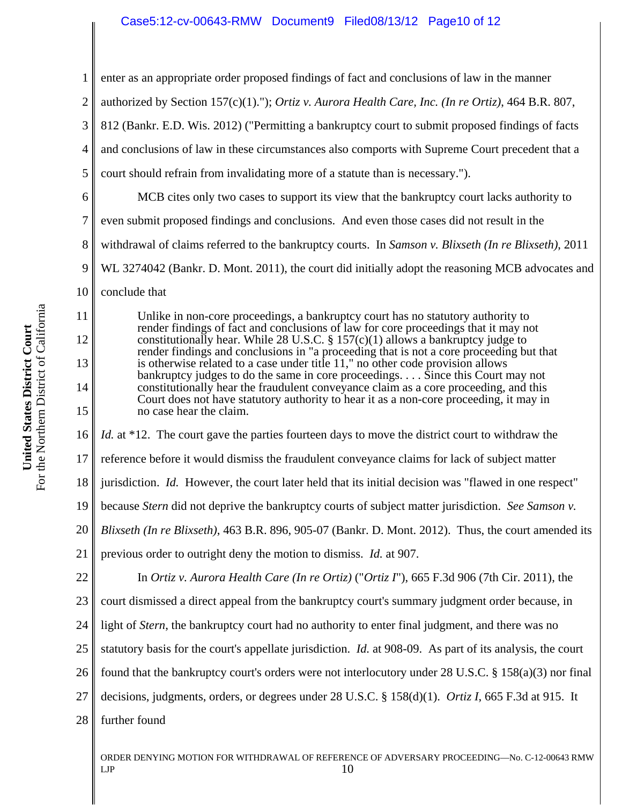## Case5:12-cv-00643-RMW Document9 Filed08/13/12 Page10 of 12

1 2 3 4 5 6 7 8 9 10 11 12 13 14 15 16 17 18 19 20 21 22 23 24 25 26 27 28 ORDER DENYING MOTION FOR WITHDRAWAL OF REFERENCE OF ADVERSARY PROCEEDING—No. C-12-00643 RMW  $LIP$  10 enter as an appropriate order proposed findings of fact and conclusions of law in the manner authorized by Section 157(c)(1)."); *Ortiz v. Aurora Health Care, Inc. (In re Ortiz)*, 464 B.R. 807, 812 (Bankr. E.D. Wis. 2012) ("Permitting a bankruptcy court to submit proposed findings of facts and conclusions of law in these circumstances also comports with Supreme Court precedent that a court should refrain from invalidating more of a statute than is necessary."). MCB cites only two cases to support its view that the bankruptcy court lacks authority to even submit proposed findings and conclusions. And even those cases did not result in the withdrawal of claims referred to the bankruptcy courts. In *Samson v. Blixseth (In re Blixseth)*, 2011 WL 3274042 (Bankr. D. Mont. 2011), the court did initially adopt the reasoning MCB advocates and conclude that Unlike in non-core proceedings, a bankruptcy court has no statutory authority to render findings of fact and conclusions of law for core proceedings that it may not constitutionally hear. While 28 U.S.C.  $\S 157(c)(1)$  allows a bankruptcy judge to render findings and conclusions in "a proceeding that is not a core proceeding but that is otherwise related to a case under title 11," no other code provision allows bankruptcy judges to do the same in core proceedings. . . . Since this Court may not constitutionally hear the fraudulent conveyance claim as a core proceeding, and this Court does not have statutory authority to hear it as a non-core proceeding, it may in no case hear the claim. *Id.* at \*12. The court gave the parties fourteen days to move the district court to withdraw the reference before it would dismiss the fraudulent conveyance claims for lack of subject matter jurisdiction. *Id.* However, the court later held that its initial decision was "flawed in one respect" because *Stern* did not deprive the bankruptcy courts of subject matter jurisdiction. *See Samson v. Blixseth (In re Blixseth)*, 463 B.R. 896, 905-07 (Bankr. D. Mont. 2012). Thus, the court amended its previous order to outright deny the motion to dismiss. *Id.* at 907. In *Ortiz v. Aurora Health Care (In re Ortiz)* ("*Ortiz I*"), 665 F.3d 906 (7th Cir. 2011), the court dismissed a direct appeal from the bankruptcy court's summary judgment order because, in light of *Stern*, the bankruptcy court had no authority to enter final judgment, and there was no statutory basis for the court's appellate jurisdiction. *Id.* at 908-09. As part of its analysis, the court found that the bankruptcy court's orders were not interlocutory under 28 U.S.C. § 158(a)(3) nor final decisions, judgments, orders, or degrees under 28 U.S.C. § 158(d)(1). *Ortiz I*, 665 F.3d at 915. It further found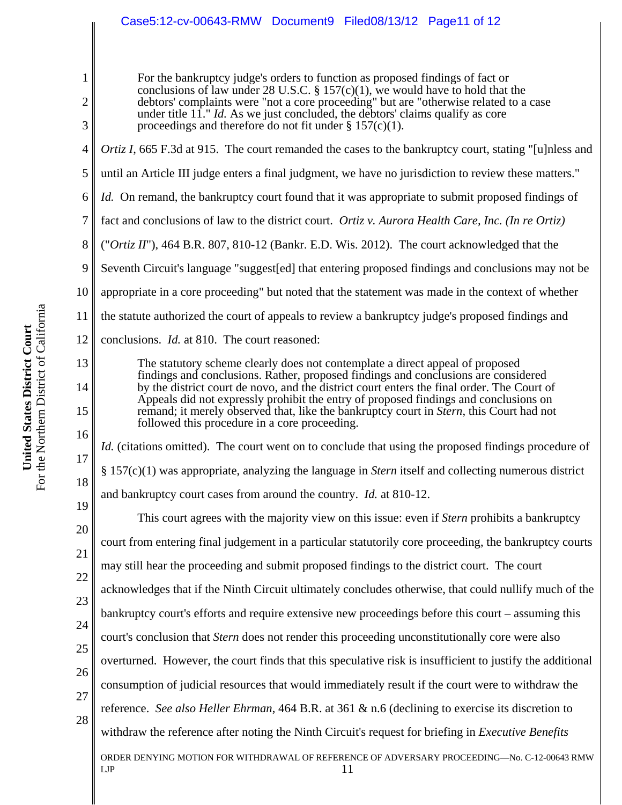# Case5:12-cv-00643-RMW Document9 Filed08/13/12 Page11 of 12

For the bankruptcy judge's orders to function as proposed findings of fact or conclusions of law under 28 U.S.C. § 157(c)(1), we would have to hold that the debtors' complaints were "not a core proceeding" but are "otherwise related to a case under title 11." *Id.* As we just concluded, the debtors' claims qualify as core proceedings and therefore do not fit under  $\S 157(c)(1)$ .

- 4 *Ortiz I*, 665 F.3d at 915. The court remanded the cases to the bankruptcy court, stating "[u]nless and
- 5 until an Article III judge enters a final judgment, we have no jurisdiction to review these matters."
- 6 *Id.* On remand, the bankruptcy court found that it was appropriate to submit proposed findings of
- 7 fact and conclusions of law to the district court. *Ortiz v. Aurora Health Care, Inc. (In re Ortiz)*
- 8 ("*Ortiz II*"), 464 B.R. 807, 810-12 (Bankr. E.D. Wis. 2012). The court acknowledged that the
- 9 Seventh Circuit's language "suggest[ed] that entering proposed findings and conclusions may not be
- 10 appropriate in a core proceeding" but noted that the statement was made in the context of whether
- 11 the statute authorized the court of appeals to review a bankruptcy judge's proposed findings and
- 12 conclusions. *Id.* at 810. The court reasoned:

The statutory scheme clearly does not contemplate a direct appeal of proposed findings and conclusions. Rather, proposed findings and conclusions are considered by the district court de novo, and the district court enters the final order. The Court of Appeals did not expressly prohibit the entry of proposed findings and conclusions on remand; it merely observed that, like the bankruptcy court in *Stern*, this Court had not followed this procedure in a core proceeding.

*Id.* (citations omitted). The court went on to conclude that using the proposed findings procedure of § 157(c)(1) was appropriate, analyzing the language in *Stern* itself and collecting numerous district and bankruptcy court cases from around the country. *Id.* at 810-12.

19 20 21 22 23 24 25 26 27 28 ORDER DENYING MOTION FOR WITHDRAWAL OF REFERENCE OF ADVERSARY PROCEEDING—No. C-12-00643 RMW  $LIP$  11 This court agrees with the majority view on this issue: even if *Stern* prohibits a bankruptcy court from entering final judgement in a particular statutorily core proceeding, the bankruptcy courts may still hear the proceeding and submit proposed findings to the district court. The court acknowledges that if the Ninth Circuit ultimately concludes otherwise, that could nullify much of the bankruptcy court's efforts and require extensive new proceedings before this court – assuming this court's conclusion that *Stern* does not render this proceeding unconstitutionally core were also overturned. However, the court finds that this speculative risk is insufficient to justify the additional consumption of judicial resources that would immediately result if the court were to withdraw the reference. *See also Heller Ehrman*, 464 B.R. at 361 & n.6 (declining to exercise its discretion to withdraw the reference after noting the Ninth Circuit's request for briefing in *Executive Benefits*

1

2

3

13

14

15

16

17